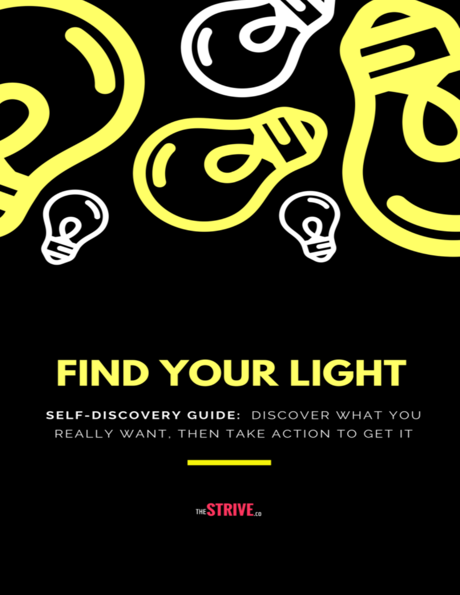

# FIND YOUR LIGHT

SELF-DISCOVERY GUIDE: DISCOVER WHAT YOU REALLY WANT, THEN TAKE ACTION TO GET IT

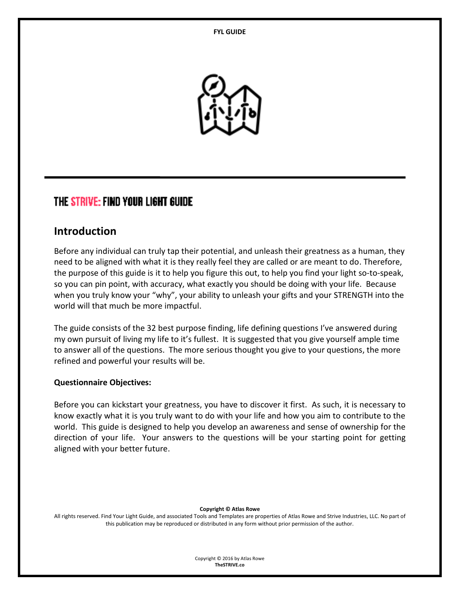

### THE STRIVE: FIND YOUR LIGHT GUIDE

#### **Introduction**

Before any individual can truly tap their potential, and unleash their greatness as a human, they need to be aligned with what it is they really feel they are called or are meant to do. Therefore, the purpose of this guide is it to help you figure this out, to help you find your light so-to-speak, so you can pin point, with accuracy, what exactly you should be doing with your life. Because when you truly know your "why", your ability to unleash your gifts and your STRENGTH into the world will that much be more impactful.

The guide consists of the 32 best purpose finding, life defining questions I've answered during my own pursuit of living my life to it's fullest. It is suggested that you give yourself ample time to answer all of the questions. The more serious thought you give to your questions, the more refined and powerful your results will be.

#### **Questionnaire Objectives:**

Before you can kickstart your greatness, you have to discover it first. As such, it is necessary to know exactly what it is you truly want to do with your life and how you aim to contribute to the world. This guide is designed to help you develop an awareness and sense of ownership for the direction of your life. Your answers to the questions will be your starting point for getting aligned with your better future.

#### **Copyright © Atlas Rowe**

All rights reserved. Find Your Light Guide, and associated Tools and Templates are properties of Atlas Rowe and Strive Industries, LLC. No part of this publication may be reproduced or distributed in any form without prior permission of the author.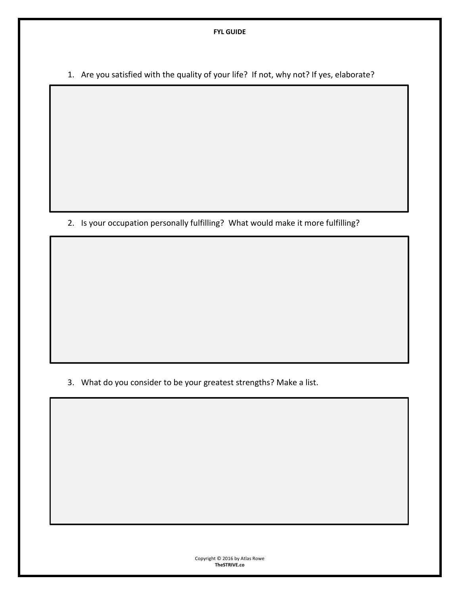1. Are you satisfied with the quality of your life? If not, why not? If yes, elaborate?

2. Is your occupation personally fulfilling? What would make it more fulfilling?

3. What do you consider to be your greatest strengths? Make a list.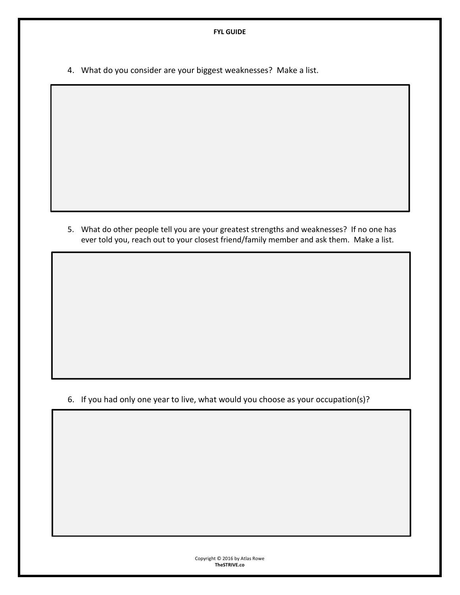4. What do you consider are your biggest weaknesses? Make a list.

5. What do other people tell you are your greatest strengths and weaknesses? If no one has ever told you, reach out to your closest friend/family member and ask them. Make a list.

6. If you had only one year to live, what would you choose as your occupation(s)?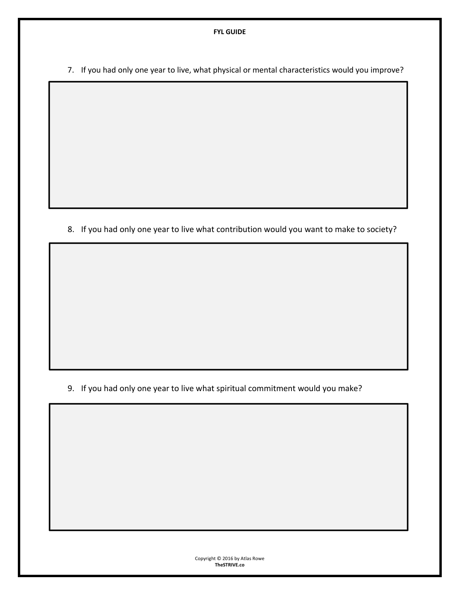7. If you had only one year to live, what physical or mental characteristics would you improve?

8. If you had only one year to live what contribution would you want to make to society?

9. If you had only one year to live what spiritual commitment would you make?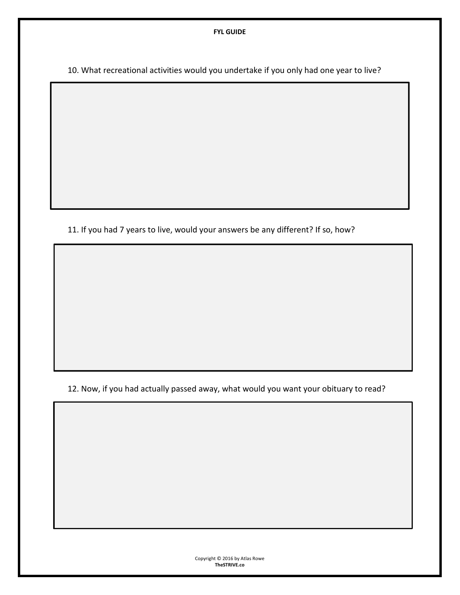10. What recreational activities would you undertake if you only had one year to live?

11. If you had 7 years to live, would your answers be any different? If so, how?

12. Now, if you had actually passed away, what would you want your obituary to read?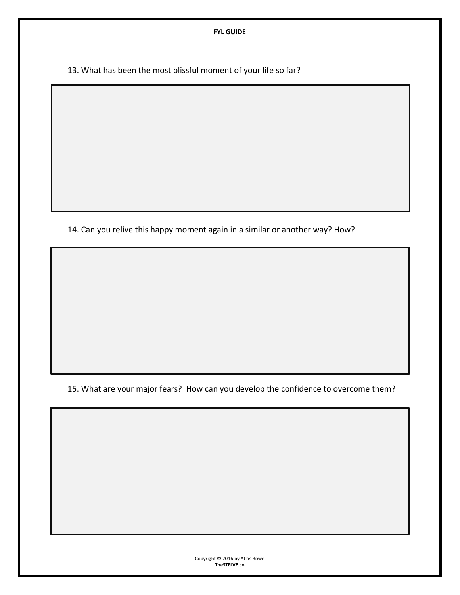13. What has been the most blissful moment of your life so far?

14. Can you relive this happy moment again in a similar or another way? How?

15. What are your major fears? How can you develop the confidence to overcome them?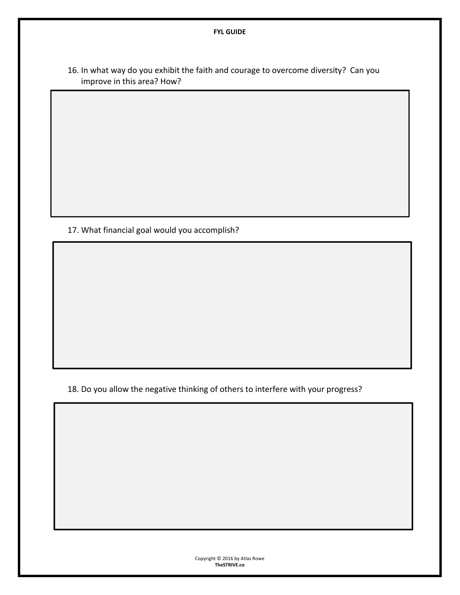16. In what way do you exhibit the faith and courage to overcome diversity? Can you improve in this area? How?

17. What financial goal would you accomplish?

18. Do you allow the negative thinking of others to interfere with your progress?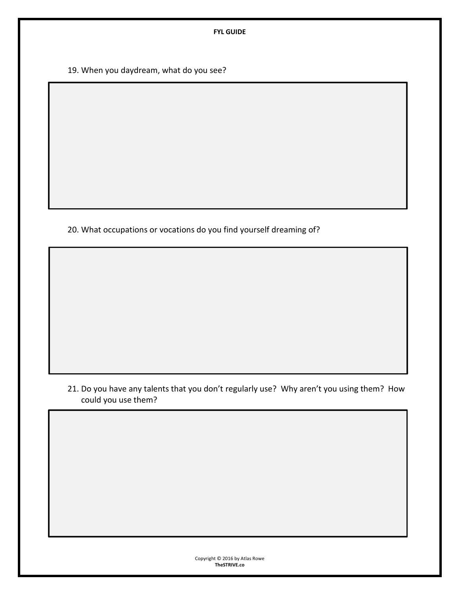19. When you daydream, what do you see?

20. What occupations or vocations do you find yourself dreaming of?

21. Do you have any talents that you don't regularly use? Why aren't you using them? How could you use them?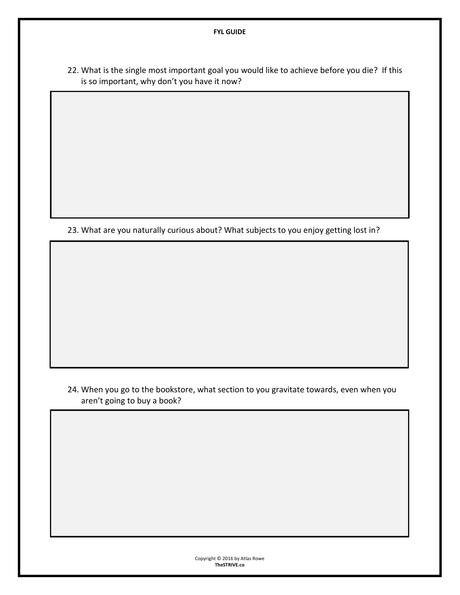22. What is the single most important goal you would like to achieve before you die? If this is so important, why don't you have it now?

23. What are you naturally curious about? What subjects to you enjoy getting lost in?

#### 24. When you go to the bookstore, what section to you gravitate towards, even when you aren't going to buy a book?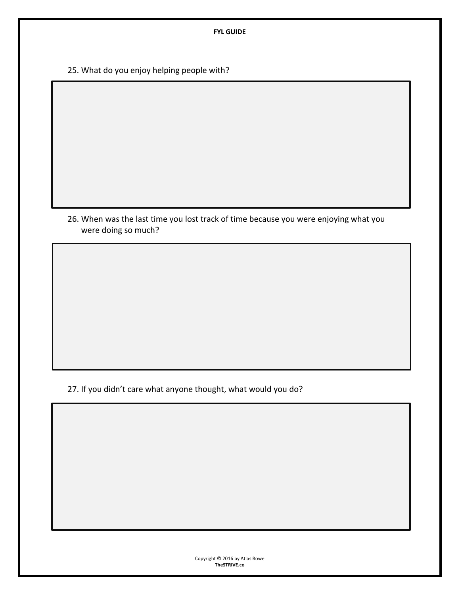25. What do you enjoy helping people with?

26. When was the last time you lost track of time because you were enjoying what you were doing so much?

27. If you didn't care what anyone thought, what would you do?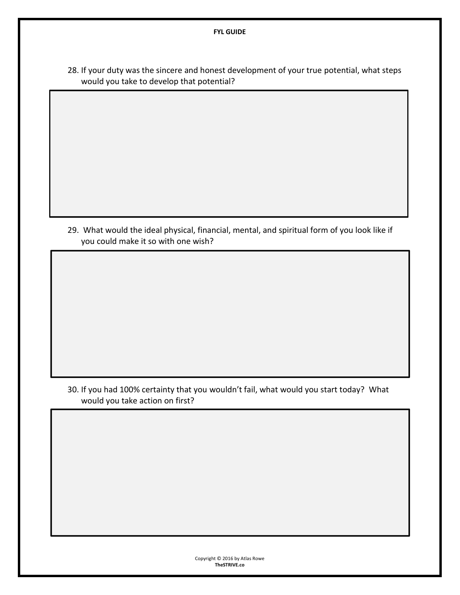28. If your duty was the sincere and honest development of your true potential, what steps would you take to develop that potential?

29. What would the ideal physical, financial, mental, and spiritual form of you look like if you could make it so with one wish?

30. If you had 100% certainty that you wouldn't fail, what would you start today? What would you take action on first?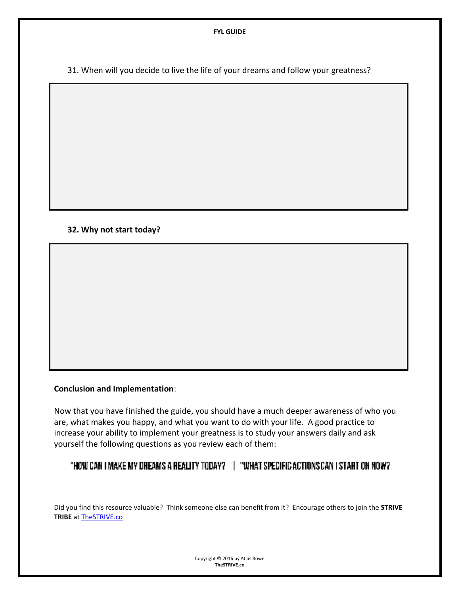31. When will you decide to live the life of your dreams and follow your greatness?

#### **32. Why not start today?**

٦

#### **Conclusion and Implementation**:

Now that you have finished the guide, you should have a much deeper awareness of who you are, what makes you happy, and what you want to do with your life. A good practice to increase your ability to implement your greatness is to study your answers daily and ask yourself the following questions as you review each of them:

#### "HOW CAN I MAKE MY DREAMS A REALITY TODAY? | "WHAT SPECIFIC ACTIONS CAN I START ON NOW?"

Did you find this resource valuable? Think someone else can benefit from it? Encourage others to join the **STRIVE TRIBE** at [TheSTRIVE.co](https://thestrive.co/subscribe/)